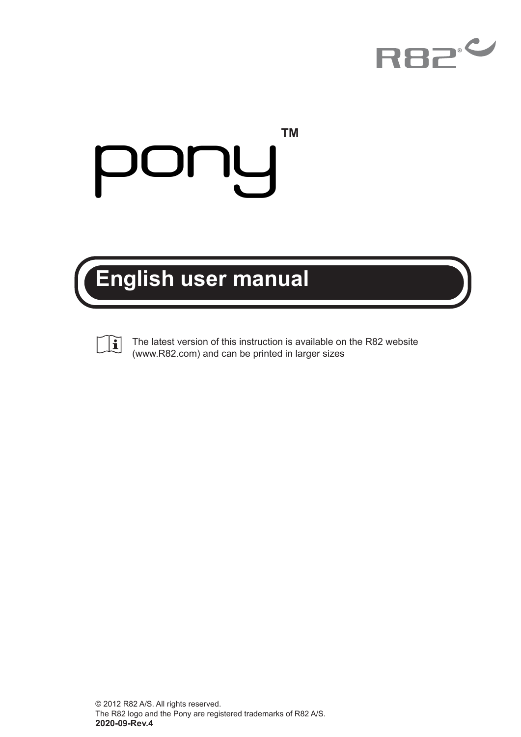

**TM**

# **p**

## **English user manual**



The latest version of this instruction is available on the R82 website (www.R82.com) and can be printed in larger sizes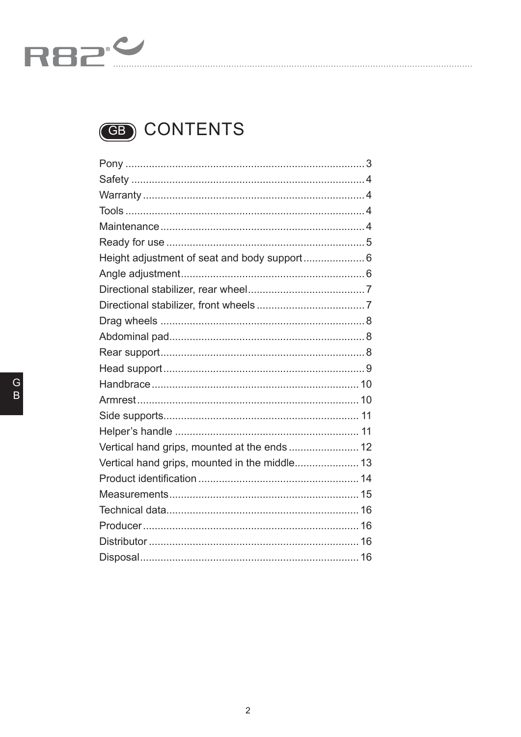



| Height adjustment of seat and body support 6  |  |
|-----------------------------------------------|--|
|                                               |  |
|                                               |  |
|                                               |  |
|                                               |  |
|                                               |  |
|                                               |  |
|                                               |  |
|                                               |  |
|                                               |  |
|                                               |  |
|                                               |  |
| Vertical hand grips, mounted at the ends  12  |  |
| Vertical hand grips, mounted in the middle 13 |  |
|                                               |  |
|                                               |  |
|                                               |  |
|                                               |  |
|                                               |  |
|                                               |  |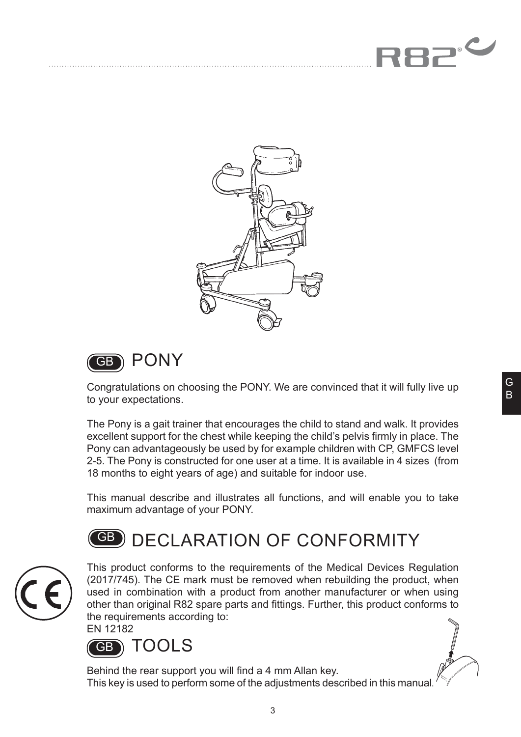





PONY

Congratulations on choosing the PONY. We are convinced that it will fully live up to your expectations.

The Pony is a gait trainer that encourages the child to stand and walk. It provides excellent support for the chest while keeping the child's pelvis firmly in place. The Pony can advantageously be used by for example children with CP, GMFCS level 2-5. The Pony is constructed for one user at a time. It is available in 4 sizes (from 18 months to eight years of age) and suitable for indoor use.

This manual describe and illustrates all functions, and will enable you to take maximum advantage of your PONY.

## **GB)** DECLARATION OF CONFORMITY



This product conforms to the requirements of the Medical Devices Regulation (2017/745). The CE mark must be removed when rebuilding the product, when used in combination with a product from another manufacturer or when using other than original R82 spare parts and fittings. Further, this product conforms to the requirements according to:

EN 12182



Behind the rear support you will find a 4 mm Allan key. This key is used to perform some of the adjustments described in this manual.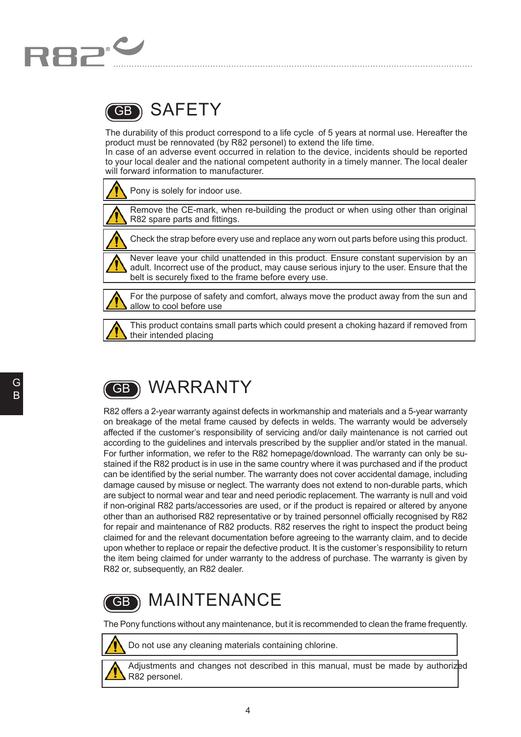

#### SAFETY GB

The durability of this product correspond to a life cycle of 5 years at normal use. Hereafter the product must be rennovated (by R82 personel) to extend the life time.

In case of an adverse event occurred in relation to the device, incidents should be reported to your local dealer and the national competent authority in a timely manner. The local dealer will forward information to manufacturer.

Pony is solely for indoor use.



Remove the CE-mark, when re-building the product or when using other than original R82 spare parts and fittings.

Check the strap before every use and replace any worn out parts before using this product.

Never leave your child unattended in this product. Ensure constant supervision by an adult. Incorrect use of the product, may cause serious injury to the user. Ensure that the belt is securely fixed to the frame before every use.



For the purpose of safety and comfort, always move the product away from the sun and allow to cool before use



This product contains small parts which could present a choking hazard if removed from their intended placing

#### WARRANTY GB

R82 offers a 2-year warranty against defects in workmanship and materials and a 5-year warranty on breakage of the metal frame caused by defects in welds. The warranty would be adversely affected if the customer's responsibility of servicing and/or daily maintenance is not carried out according to the guidelines and intervals prescribed by the supplier and/or stated in the manual. For further information, we refer to the R82 homepage/download. The warranty can only be sustained if the R82 product is in use in the same country where it was purchased and if the product can be identified by the serial number. The warranty does not cover accidental damage, including damage caused by misuse or neglect. The warranty does not extend to non-durable parts, which are subject to normal wear and tear and need periodic replacement. The warranty is null and void if non-original R82 parts/accessories are used, or if the product is repaired or altered by anyone other than an authorised R82 representative or by trained personnel officially recognised by R82 for repair and maintenance of R82 products. R82 reserves the right to inspect the product being claimed for and the relevant documentation before agreeing to the warranty claim, and to decide upon whether to replace or repair the defective product. It is the customer's responsibility to return the item being claimed for under warranty to the address of purchase. The warranty is given by R82 or, subsequently, an R82 dealer.

#### MAINTENANCE GB

The Pony functions without any maintenance, but it is recommended to clean the frame frequently.



Do not use any cleaning materials containing chlorine.

Adjustments and changes not described in this manual, must be made by authorized R82 personel.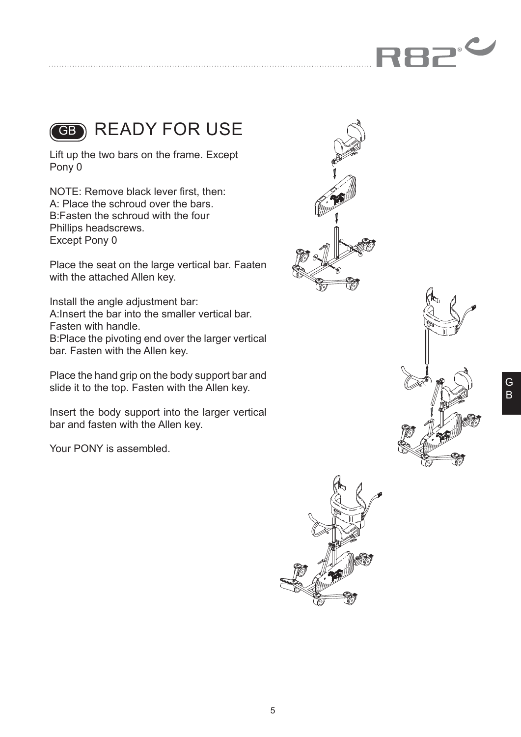



GB READY FOR USE

Lift up the two bars on the frame. Except Pony 0

NOTE: Remove black lever first, then: A: Place the schroud over the bars. B:Fasten the schroud with the four Phillips headscrews. Except Pony 0

Place the seat on the large vertical bar. Faaten with the attached Allen key.

Install the angle adjustment bar: A:Insert the bar into the smaller vertical bar. Fasten with handle. B:Place the pivoting end over the larger vertical bar. Fasten with the Allen key.

Place the hand grip on the body support bar and slide it to the top. Fasten with the Allen key.

Insert the body support into the larger vertical bar and fasten with the Allen key.

Your PONY is assembled.





G B

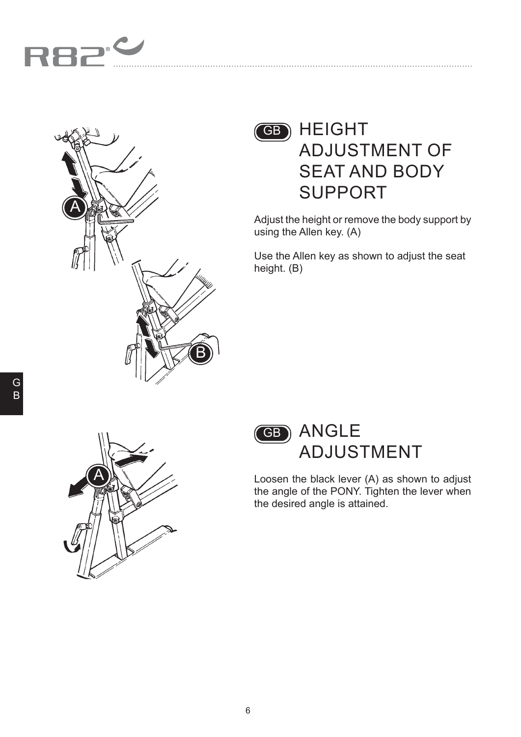



### GB HEIGHT ADJUSTMENT OF SEAT AND BODY SUPPORT

Adjust the height or remove the body support by using the Allen key. (A)

Use the Allen key as shown to adjust the seat height. (B)





Loosen the black lever (A) as shown to adjust the angle of the PONY. Tighten the lever when the desired angle is attained.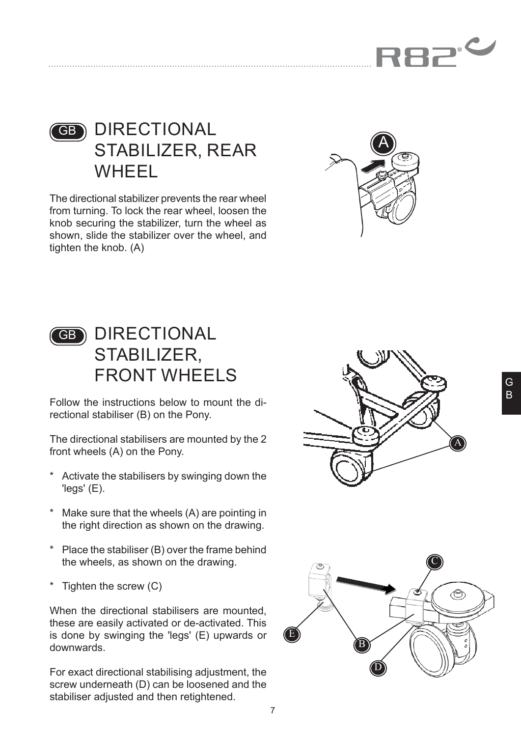



#### GB DIRECTIONAL STABILIZER, REAR WHEEL

The directional stabilizer prevents the rear wheel from turning. To lock the rear wheel, loosen the knob securing the stabilizer, turn the wheel as shown, slide the stabilizer over the wheel, and tighten the knob. (A)



#### GB DIRECTIONAL STABILIZER, FRONT WHEELS

Follow the instructions below to mount the directional stabiliser (B) on the Pony.

The directional stabilisers are mounted by the 2 front wheels (A) on the Pony.

- \* Activate the stabilisers by swinging down the 'legs' (E).
- \* Make sure that the wheels (A) are pointing in the right direction as shown on the drawing.
- \* Place the stabiliser (B) over the frame behind the wheels, as shown on the drawing.
- Tighten the screw  $(C)$

When the directional stabilisers are mounted. these are easily activated or de-activated. This is done by swinging the 'legs' (E) upwards or downwards.

For exact directional stabilising adjustment, the screw underneath (D) can be loosened and the stabiliser adjusted and then retightened.



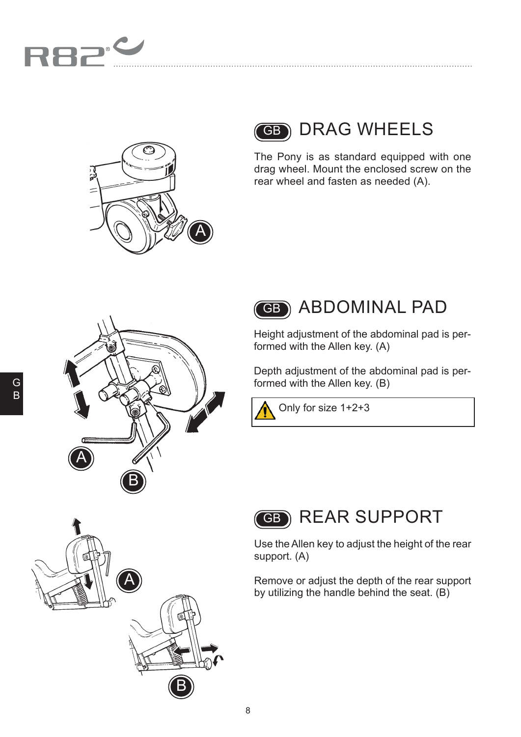





The Pony is as standard equipped with one drag wheel. Mount the enclosed screw on the rear wheel and fasten as needed (A).

. . . . . . . . . . . . . . . . . . .





Height adjustment of the abdominal pad is performed with the Allen key. (A)

Depth adjustment of the abdominal pad is performed with the Allen key. (B)

Only for size 1+2+3



Use the Allen key to adjust the height of the rear support. (A)

Remove or adjust the depth of the rear support by utilizing the handle behind the seat. (B)

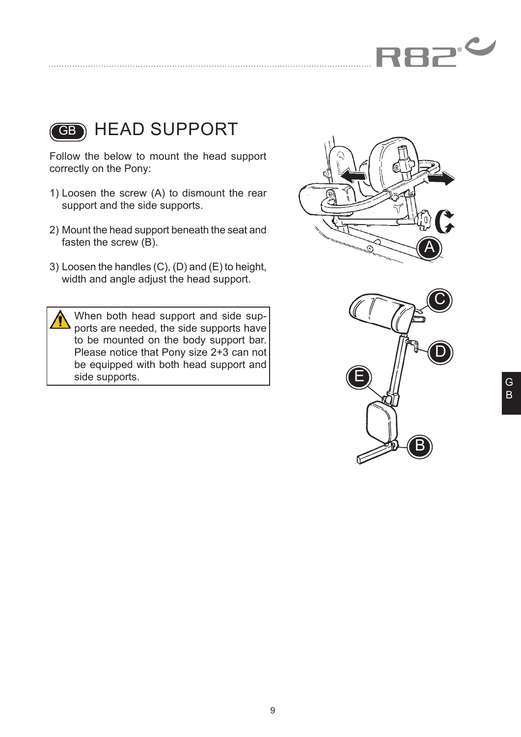



#### GB) HEAD SUPPORT

Follow the below to mount the head support correctly on the Pony:

- 1) Loosen the screw (A) to dismount the rear support and the side supports.
- 2) Mount the head support beneath the seat and fasten the screw (B).
- 3) Loosen the handles (C), (D) and (E) to height, width and angle adjust the head support.

When both head support and side supports are needed, the side supports have to be mounted on the body support bar. Please notice that Pony size 2+3 can not be equipped with both head support and side supports.



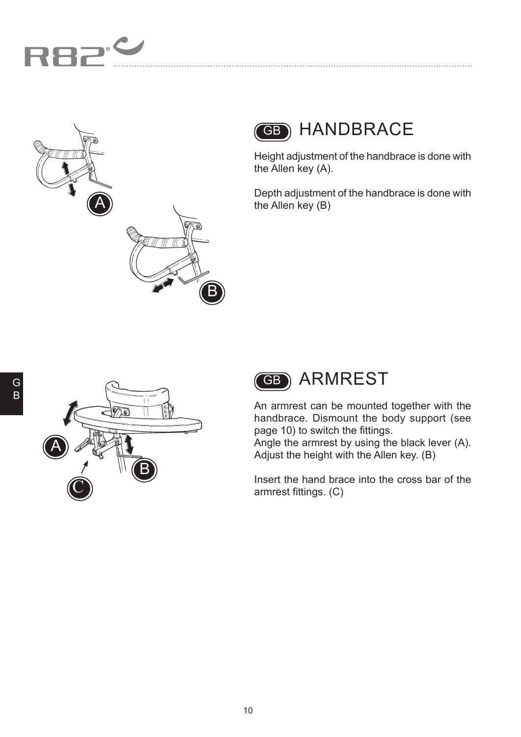



## GB HANDBRACE

Height adjustment of the handbrace is done with the Allen key (A).

Depth adjustment of the handbrace is done with the Allen key (B)



An armrest can be mounted together with the handbrace. Dismount the body support (see page 10) to switch the fittings.

Angle the armrest by using the black lever (A). Adjust the height with the Allen key. (B)

Insert the hand brace into the cross bar of the armrest fittings. (C)

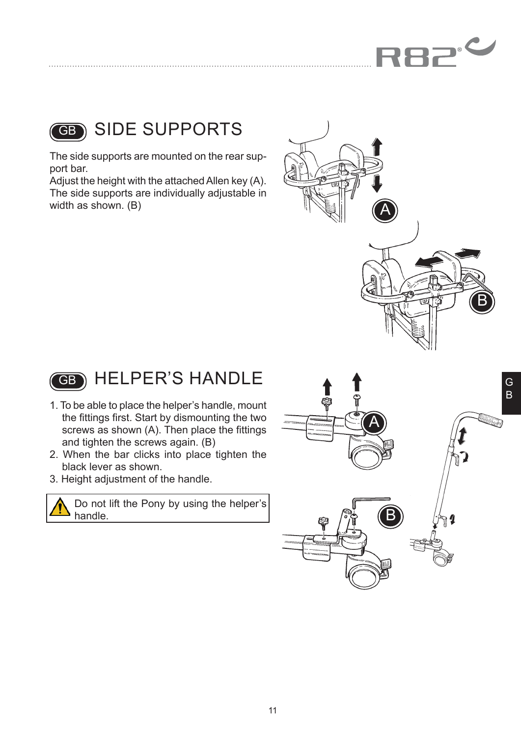



#### SIDE SUPPORTS

The side supports are mounted on the rear support bar.

Adjust the height with the attached Allen key (A). The side supports are individually adjustable in width as shown. (B)





- 1. To be able to place the helper's handle, mount the fittings first. Start by dismounting the two screws as shown (A). Then place the fittings and tighten the screws again. (B)
- 2. When the bar clicks into place tighten the black lever as shown.
- 3. Height adjustment of the handle.

Do not lift the Pony by using the helper's handle.

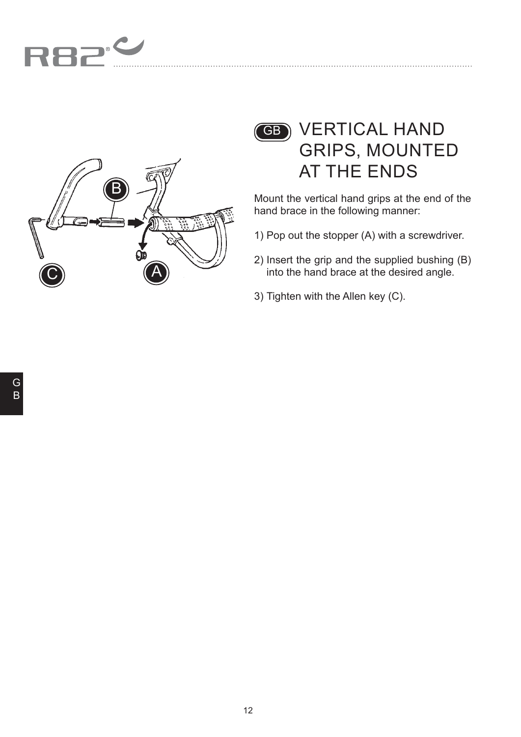



### GB VERTICAL HAND GRIPS, MOUNTED AT THE ENDS

Mount the vertical hand grips at the end of the hand brace in the following manner:

- 1) Pop out the stopper (A) with a screwdriver.
- 2) Insert the grip and the supplied bushing (B) into the hand brace at the desired angle.
- 3) Tighten with the Allen key (C).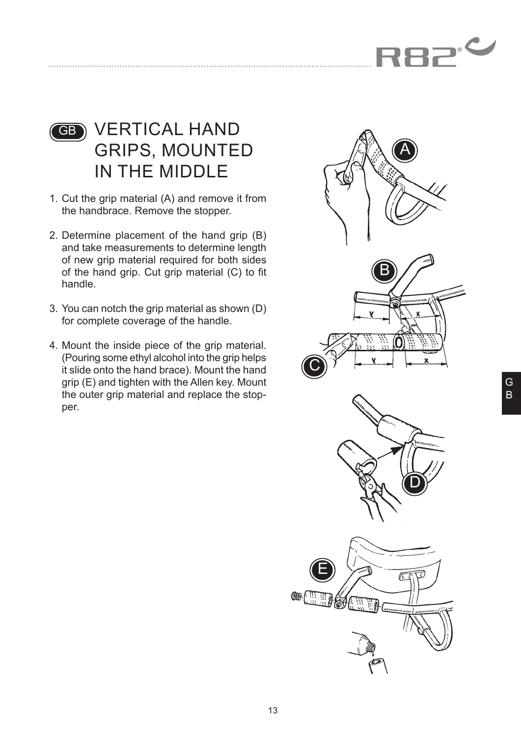

#### GB VERTICAL HAND GRIPS, MOUNTED IN THE MIDDLE

- 1. Cut the grip material (A) and remove it from the handbrace. Remove the stopper.
- 2. Determine placement of the hand grip (B) and take measurements to determine length of new grip material required for both sides of the hand grip. Cut grip material (C) to fit handle.
- 3. You can notch the grip material as shown (D) for complete coverage of the handle.
- 4. Mount the inside piece of the grip material. (Pouring some ethyl alcohol into the grip helps it slide onto the hand brace). Mount the hand grip (E) and tighten with the Allen key. Mount the outer grip material and replace the stopper.

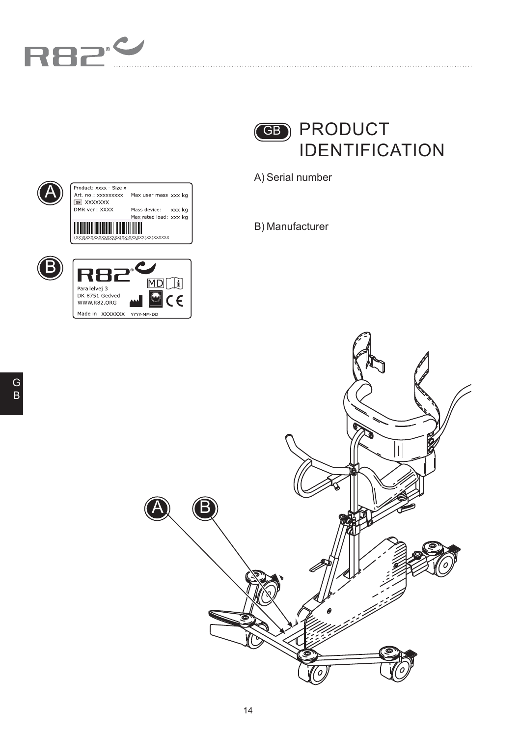



A) Serial number

B) Manufacturer



| Product: xxxx - Size x                 |                        |
|----------------------------------------|------------------------|
| Art. no : xxxxxxxxx                    | Max user mass xxx kg   |
| <b>XXXXXXX</b>                         |                        |
| DMR ver: XXXX                          | Mass device:<br>xxx kg |
|                                        | Max rated load: xxx kg |
| (XX)XXXXXXXXXXXXXX(XX)XXXXXX(XX)XXXXXX |                        |



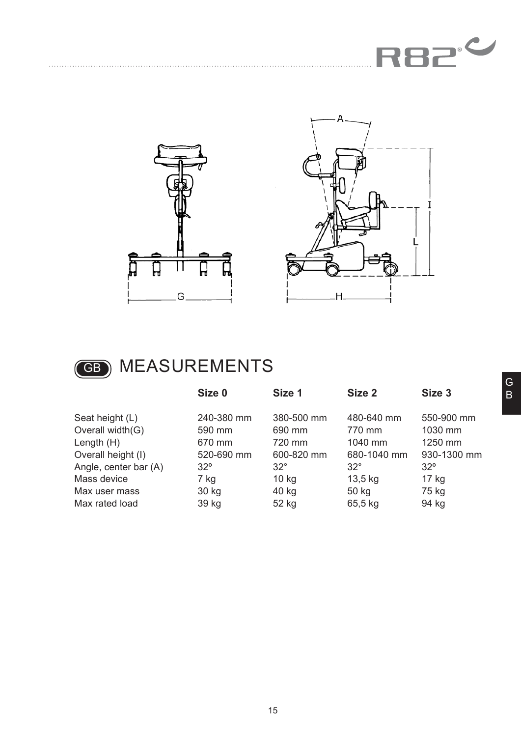







## GB MEASUREMENTS

|                       | Size 0     | Size 1     | Size 2      | Size <sub>3</sub> |
|-----------------------|------------|------------|-------------|-------------------|
| Seat height (L)       | 240-380 mm | 380-500 mm | 480-640 mm  | 550-900 mm        |
| Overall width(G)      | 590 mm     | 690 mm     | 770 mm      | 1030 mm           |
| Length $(H)$          | 670 mm     | 720 mm     | 1040 mm     | 1250 mm           |
| Overall height (I)    | 520-690 mm | 600-820 mm | 680-1040 mm | 930-1300 mm       |
| Angle, center bar (A) | $32^\circ$ | $32^\circ$ | $32^\circ$  | $32^\circ$        |
| Mass device           | 7 kg       | $10$ kg    | $13,5$ kg   | $17$ kg           |
| Max user mass         | 30 kg      | 40 kg      | 50 kg       | 75 kg             |
| Max rated load        | 39 kg      | 52 kg      | 65,5 kg     | 94 kg             |